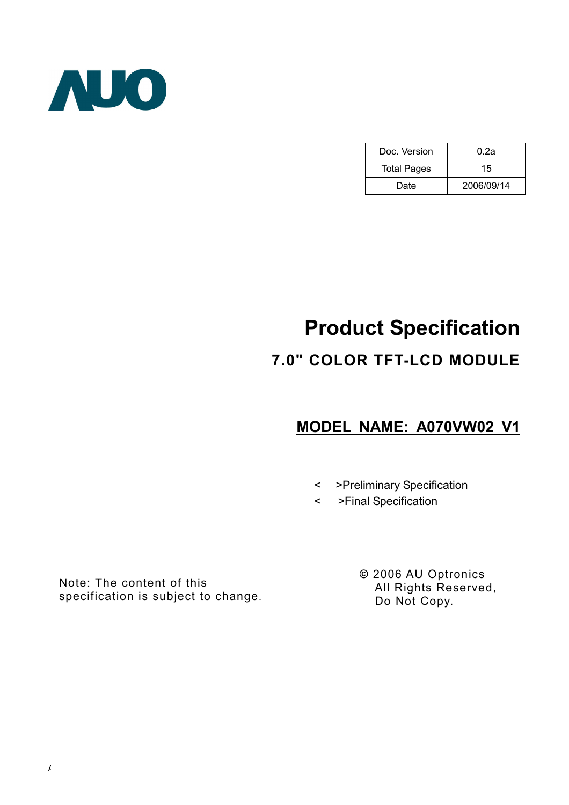

| Doc. Version       | 0.2a       |  |  |
|--------------------|------------|--|--|
| <b>Total Pages</b> | 15         |  |  |
| Date               | 2006/09/14 |  |  |

# Product Specification

# 7.0" COLOR TFT-LCD MODULE

# MODEL NAME: A070VW02 V1

- < >Preliminary Specification
- < >Final Specification

Note: The content of this specification is subject to change. © 2006 AU Optronics All Rights Reserved, Do Not Copy.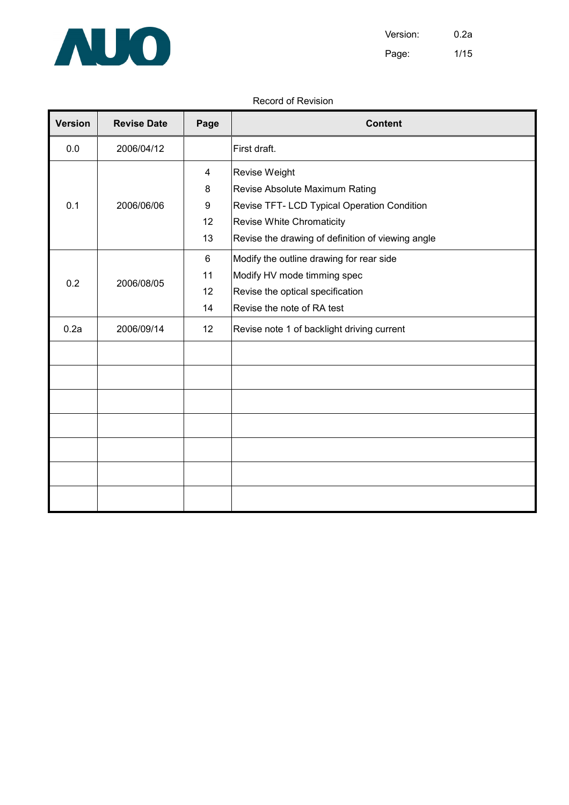

### Record of Revision

| <b>Version</b> | <b>Revise Date</b> | Page           | <b>Content</b>                                    |
|----------------|--------------------|----------------|---------------------------------------------------|
| 0.0            | 2006/04/12         |                | First draft.                                      |
|                |                    | $\overline{4}$ | Revise Weight                                     |
|                |                    | 8              | Revise Absolute Maximum Rating                    |
| 0.1            | 2006/06/06         | 9              | Revise TFT- LCD Typical Operation Condition       |
|                |                    | 12             | Revise White Chromaticity                         |
|                |                    | 13             | Revise the drawing of definition of viewing angle |
|                |                    | 6              | Modify the outline drawing for rear side          |
| 0.2            |                    | 11             | Modify HV mode timming spec                       |
|                | 2006/08/05<br>12   |                | Revise the optical specification                  |
|                |                    | 14             | Revise the note of RA test                        |
| 0.2a           | 2006/09/14         | 12             | Revise note 1 of backlight driving current        |
|                |                    |                |                                                   |
|                |                    |                |                                                   |
|                |                    |                |                                                   |
|                |                    |                |                                                   |
|                |                    |                |                                                   |
|                |                    |                |                                                   |
|                |                    |                |                                                   |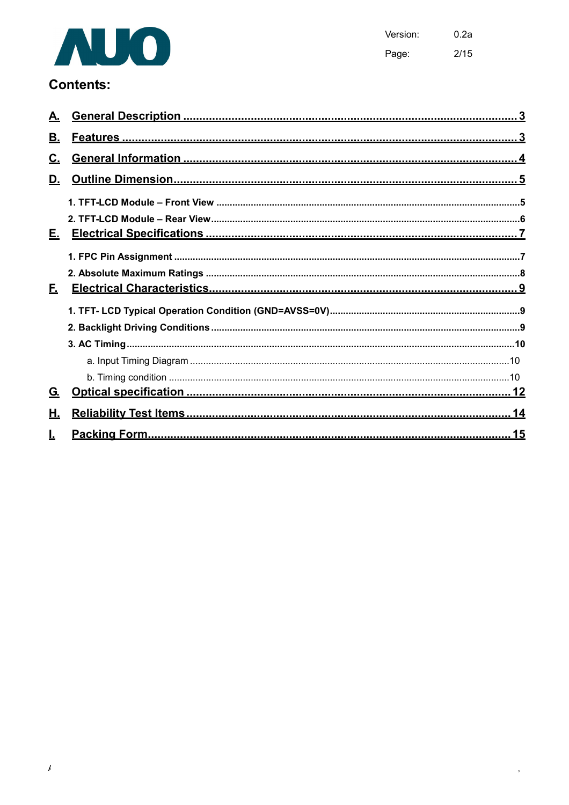

 $0.2a$ Version: Page:  $2/15$ 

 $\overline{\phantom{a}}$ 

# **Contents:**

| В.        |  |
|-----------|--|
| <u>C.</u> |  |
| D.        |  |
|           |  |
|           |  |
|           |  |
|           |  |
|           |  |
| E.        |  |
|           |  |
|           |  |
|           |  |
|           |  |
|           |  |
| G.        |  |
| Η.        |  |
|           |  |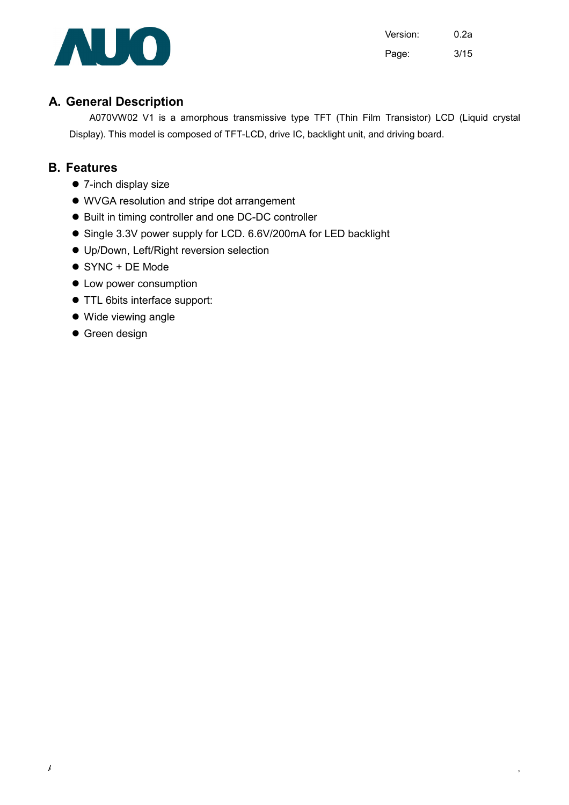

Version: 0.2a Page: 3/15

### A. General Description

A070VW02 V1 is a amorphous transmissive type TFT (Thin Film Transistor) LCD (Liquid crystal Display). This model is composed of TFT-LCD, drive IC, backlight unit, and driving board.

### B. Features

- 7-inch display size
- WVGA resolution and stripe dot arrangement
- $\bullet$  Built in timing controller and one DC-DC controller
- Single 3.3V power supply for LCD. 6.6V/200mA for LED backlight
- Up/Down, Left/Right reversion selection
- SYNC + DE Mode
- $\bullet$  Low power consumption
- TTL 6bits interface support:
- Wide viewing angle
- **•** Green design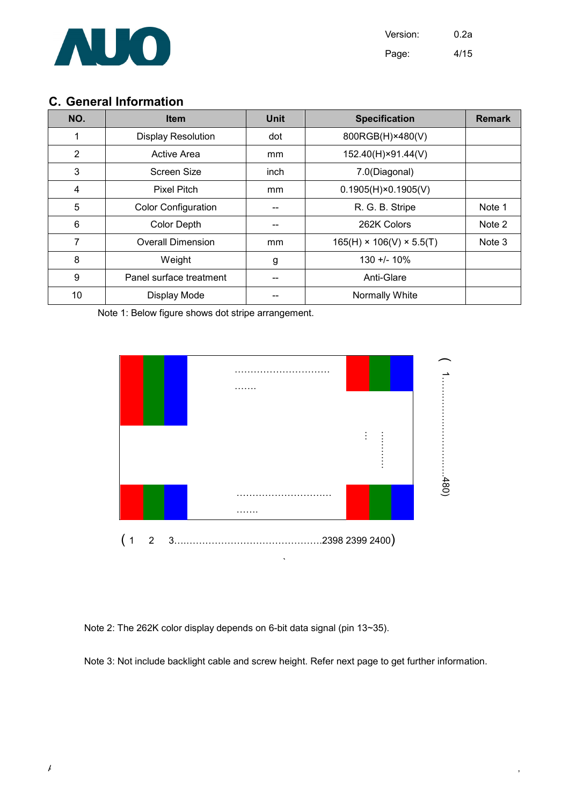

Version: 0.2a Page: 4/15

### C. General Information

| NO.            | <b>Item</b>                | <b>Unit</b> | <b>Specification</b>                 | <b>Remark</b> |
|----------------|----------------------------|-------------|--------------------------------------|---------------|
| 1              | <b>Display Resolution</b>  | dot         | 800RGB(H)×480(V)                     |               |
| $\overline{2}$ | <b>Active Area</b>         | mm          | 152.40(H)×91.44(V)                   |               |
| 3              | Screen Size                | inch        | 7.0(Diagonal)                        |               |
| 4              | <b>Pixel Pitch</b>         | mm          | $0.1905(H) \times 0.1905(V)$         |               |
| 5              | <b>Color Configuration</b> |             | R. G. B. Stripe                      | Note 1        |
| 6              | <b>Color Depth</b>         |             | 262K Colors                          | Note 2        |
| 7              | <b>Overall Dimension</b>   | mm          | $165(H) \times 106(V) \times 5.5(T)$ | Note 3        |
| 8              | Weight                     | g           | $130 + 1.10\%$                       |               |
| 9              | Panel surface treatment    |             | Anti-Glare                           |               |
| 10             | Display Mode               |             | Normally White                       |               |

Note 1: Below figure shows dot stripe arrangement.



Note 2: The 262K color display depends on 6-bit data signal (pin 13~35).

Note 3: Not include backlight cable and screw height. Refer next page to get further information.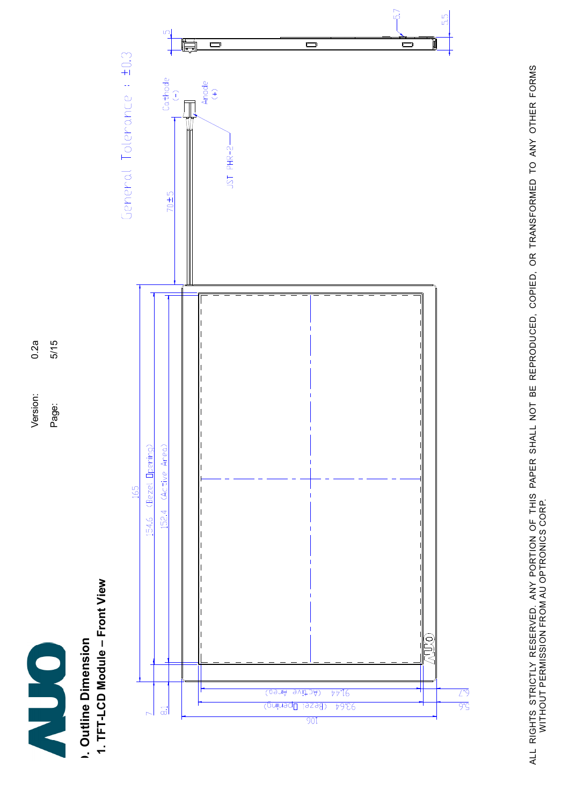

 $5/15$  $0.2a$ Version: 0.2a Version:

Page:

Page: 5/15

D. Outline Dimension **1. Outline Dimension** 

1. TFT-LCD Module – Front View 1. TFT-LCD Module - Front View



ALL RIGHTS STRICTLY RESERVED. ANY PORTION OF THIS PAPER SHALL NOT BE REPRODUCED, COPIED, OR TRANSFORMED TO ANY OTHER FORMS<br>WITHOUT PERMISSION FROM AU OPTRONICS CORP. ALL RIGHTS STRICTLY RESERVED. ANY PORTION OF THIS PAPER SHALL NOT BE REPRODUCED, COPIED, OR TRANSFORMED TO ANY OTHER FORMS WITHOUT PERMISSION FROM AU OPTRONICS CORP.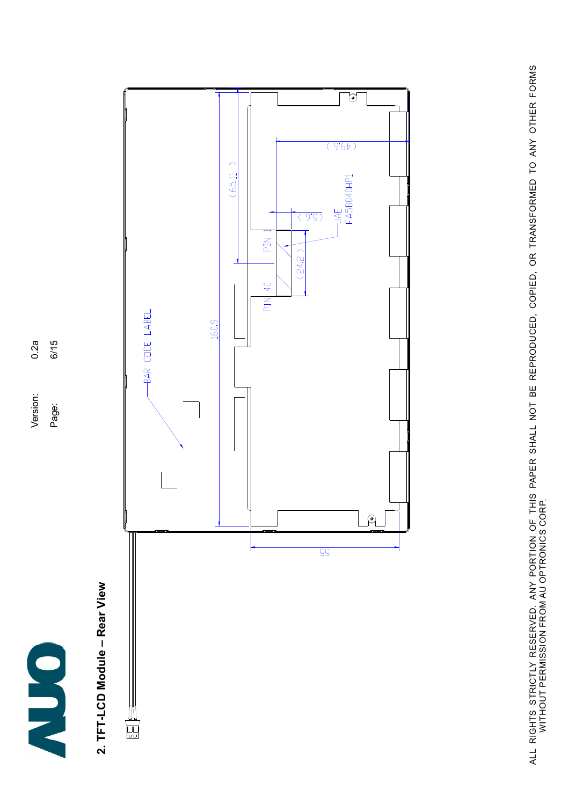

 $6/15$  $0.2a$ Version: 0.2a Page: 6/15 Version:

Page:

# 2. TFT-LCD Module – Rear View 2. TFT-LCD Module - Rear View



ALL RIGHTS STRICTLY RESERVED. ANY PORTION OF THIS PAPER SHALL NOT BE REPRODUCED, COPIED, OR TRANSFORMED TO ANY OTHER FORMS<br>WITHOUT PERMISSION FROM AU OPTRONICS CORP. ALL RIGHTS STRICTLY RESERVED. ANY PORTION OF THIS PAPER SHALL NOT BE REPRODUCED, COPIED, OR TRANSFORMED TO ANY OTHER FORMS WITHOUT PERMISSION FROM AU OPTRONICS CORP.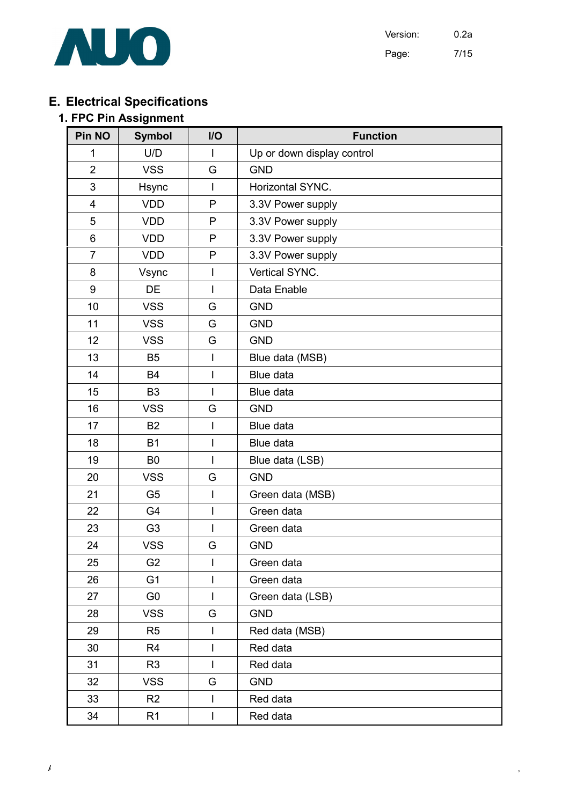

Version: 0.2a Page: 7/15

# E. Electrical Specifications

### 1. FPC Pin Assignment

| Pin NO         | <b>Symbol</b>  | I/O                      | <b>Function</b>            |  |  |
|----------------|----------------|--------------------------|----------------------------|--|--|
| 1              | U/D            | $\mathsf{I}$             | Up or down display control |  |  |
| $\overline{2}$ | <b>VSS</b>     | G                        | <b>GND</b>                 |  |  |
| 3              | Hsync          | $\overline{1}$           | Horizontal SYNC.           |  |  |
| 4              | <b>VDD</b>     | P                        | 3.3V Power supply          |  |  |
| 5              | <b>VDD</b>     | P                        | 3.3V Power supply          |  |  |
| 6              | <b>VDD</b>     | P                        | 3.3V Power supply          |  |  |
| $\overline{7}$ | <b>VDD</b>     | $\mathsf{P}$             | 3.3V Power supply          |  |  |
| 8              | Vsync          | $\mathsf{I}$             | Vertical SYNC.             |  |  |
| 9              | <b>DE</b>      | $\overline{\phantom{a}}$ | Data Enable                |  |  |
| 10             | <b>VSS</b>     | G                        | <b>GND</b>                 |  |  |
| 11             | <b>VSS</b>     | G                        | <b>GND</b>                 |  |  |
| 12             | <b>VSS</b>     | G                        | <b>GND</b>                 |  |  |
| 13             | <b>B5</b>      | I                        | Blue data (MSB)            |  |  |
| 14             | <b>B4</b>      | $\overline{1}$           | <b>Blue data</b>           |  |  |
| 15             | B <sub>3</sub> | $\overline{1}$           | Blue data                  |  |  |
| 16             | <b>VSS</b>     | G                        | <b>GND</b>                 |  |  |
| 17             | <b>B2</b>      | $\overline{1}$           | Blue data                  |  |  |
| 18             | <b>B1</b>      | $\overline{\phantom{a}}$ | Blue data                  |  |  |
| 19             | B <sub>0</sub> | $\overline{1}$           | Blue data (LSB)            |  |  |
| 20             | <b>VSS</b>     | G                        | <b>GND</b>                 |  |  |
| 21             | G <sub>5</sub> | $\overline{\phantom{a}}$ | Green data (MSB)           |  |  |
| 22             | G4             | I                        | Green data                 |  |  |
| 23             | G <sub>3</sub> | $\overline{1}$           | Green data                 |  |  |
| 24             | <b>VSS</b>     | G                        | <b>GND</b>                 |  |  |
| 25             | G <sub>2</sub> |                          | Green data                 |  |  |
| 26             | G <sub>1</sub> | $\mathsf{I}$             | Green data                 |  |  |
| 27             | G <sub>0</sub> | $\overline{1}$           | Green data (LSB)           |  |  |
| 28             | <b>VSS</b>     | G                        | <b>GND</b>                 |  |  |
| 29             | R <sub>5</sub> | T                        | Red data (MSB)             |  |  |
| 30             | R <sub>4</sub> | $\overline{\phantom{a}}$ | Red data                   |  |  |
| 31             | R <sub>3</sub> | $\overline{\phantom{a}}$ | Red data                   |  |  |
| 32             | <b>VSS</b>     | G                        | <b>GND</b>                 |  |  |
| 33             | R <sub>2</sub> | I                        | Red data                   |  |  |
| 34             | R <sub>1</sub> | I                        | Red data                   |  |  |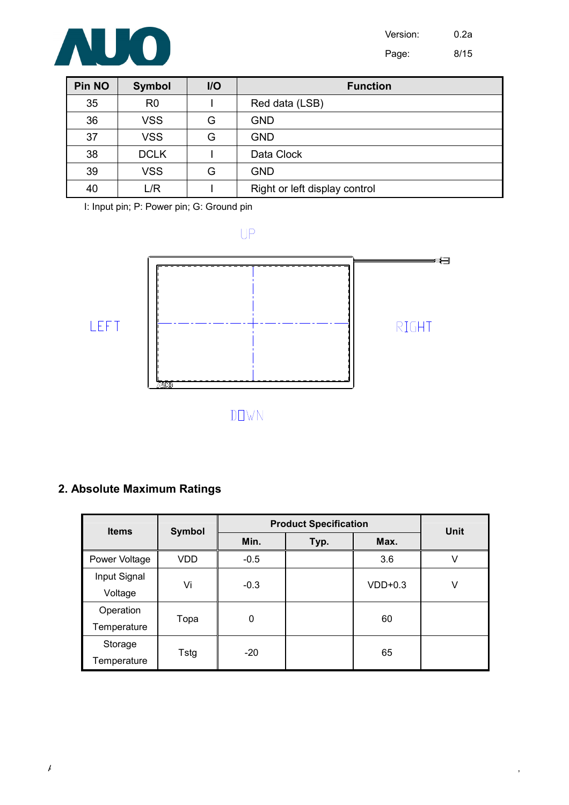

| <b>Pin NO</b> | <b>Symbol</b>  | I/O | <b>Function</b>               |
|---------------|----------------|-----|-------------------------------|
| 35            | R <sub>0</sub> |     | Red data (LSB)                |
| 36            | <b>VSS</b>     | G   | GND                           |
| 37            | <b>VSS</b>     | G   | <b>GND</b>                    |
| 38            | <b>DCLK</b>    |     | Data Clock                    |
| 39            | <b>VSS</b>     | G   | <b>GND</b>                    |
| 40            | L/R            |     | Right or left display control |

I: Input pin; P: Power pin; G: Ground pin

 $UP$ 



# 2. Absolute Maximum Ratings

| <b>Items</b>  | <b>Symbol</b> | <b>Product Specification</b> | <b>Unit</b> |           |   |  |
|---------------|---------------|------------------------------|-------------|-----------|---|--|
|               |               | Min.                         | Typ.        | Max.      |   |  |
| Power Voltage | <b>VDD</b>    | $-0.5$                       |             | 3.6       | V |  |
| Input Signal  | Vi            | $-0.3$                       |             | $VDD+0.3$ | ٧ |  |
| Voltage       |               |                              |             |           |   |  |
| Operation     |               | $\mathbf 0$                  |             | 60        |   |  |
| Temperature   | Topa          |                              |             |           |   |  |
| Storage       |               | $-20$                        |             | 65        |   |  |
| Temperature   | Tstg          |                              |             |           |   |  |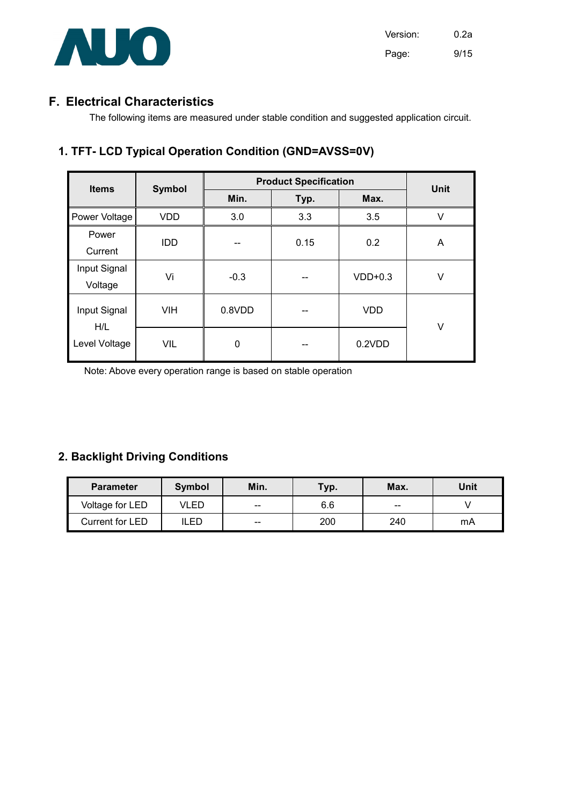

### F. Electrical Characteristics

The following items are measured under stable condition and suggested application circuit.

### 1. TFT- LCD Typical Operation Condition (GND=AVSS=0V)

| <b>Items</b>            | <b>Symbol</b> | <b>Product Specification</b> | <b>Unit</b>     |            |        |
|-------------------------|---------------|------------------------------|-----------------|------------|--------|
|                         |               | Min.                         | Typ.            | Max.       |        |
| Power Voltage           | <b>VDD</b>    | 3.0                          | 3.3             | 3.5        | $\vee$ |
| Power<br>Current        | <b>IDD</b>    |                              | 0.15            | 0.2        | A      |
| Input Signal<br>Voltage | Vi            | $-0.3$                       | $VDD+0.3$<br>-- |            | V      |
| Input Signal<br>H/L     | <b>VIH</b>    | 0.8VDD                       | --              | <b>VDD</b> | V      |
| Level Voltage           | <b>VIL</b>    | $\mathbf 0$                  | --              | 0.2VDD     |        |

Note: Above every operation range is based on stable operation

### 2. Backlight Driving Conditions

| <b>Parameter</b> | Symbol | Min.              | Typ. | Max. | Unit |
|------------------|--------|-------------------|------|------|------|
| Voltage for LED  | VLED   | $\hspace{0.05cm}$ | 6.6  | $-$  |      |
| Current for LED  | ILED   | $\hspace{0.05cm}$ | 200  | 240  | mA   |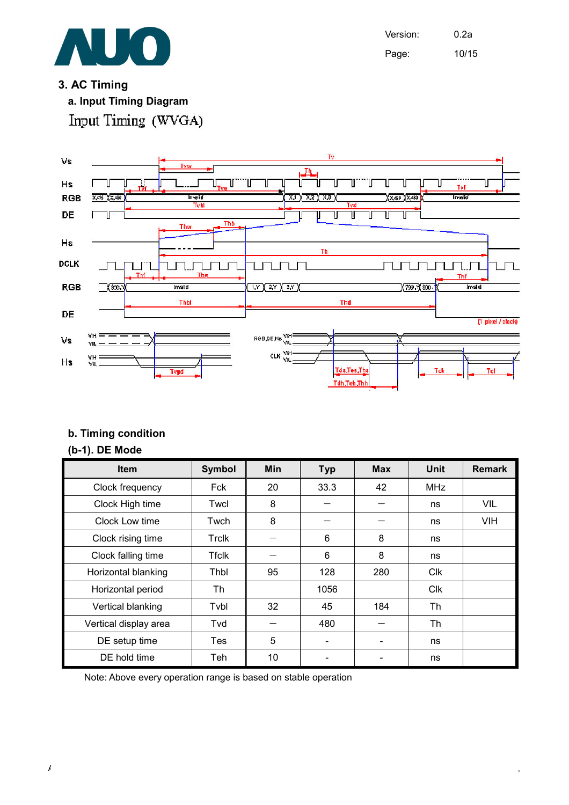

Version: 0.2a Page: 10/15

### 3. AC Timing

a. Input Timing Diagram Input Timing (WVGA)



### b. Timing condition

### (b-1). DE Mode

| Item                  | <b>Symbol</b> | <b>Min</b> | <b>Typ</b> | <b>Max</b> | <b>Unit</b> | <b>Remark</b> |
|-----------------------|---------------|------------|------------|------------|-------------|---------------|
| Clock frequency       | Fck           | 20         | 33.3       | 42         | <b>MHz</b>  |               |
| Clock High time       | Twcl          | 8          |            |            | ns          | VIL           |
| Clock Low time        | Twch          | 8          |            |            | ns          | <b>VIH</b>    |
| Clock rising time     | Trclk         |            | 6          | 8          | ns          |               |
| Clock falling time    | <b>Tfclk</b>  |            | 6          | 8          | ns          |               |
| Horizontal blanking   | Thbl          | 95         | 128        | 280        | Clk         |               |
| Horizontal period     | Th            |            | 1056       |            | <b>Clk</b>  |               |
| Vertical blanking     | Tvbl          | 32         | 45         | 184        | Th          |               |
| Vertical display area | Tvd           |            | 480        |            | Th          |               |
| DE setup time         | Tes           | 5          |            |            | ns          |               |
| DE hold time          | Teh           | 10         |            |            | ns          |               |

Note: Above every operation range is based on stable operation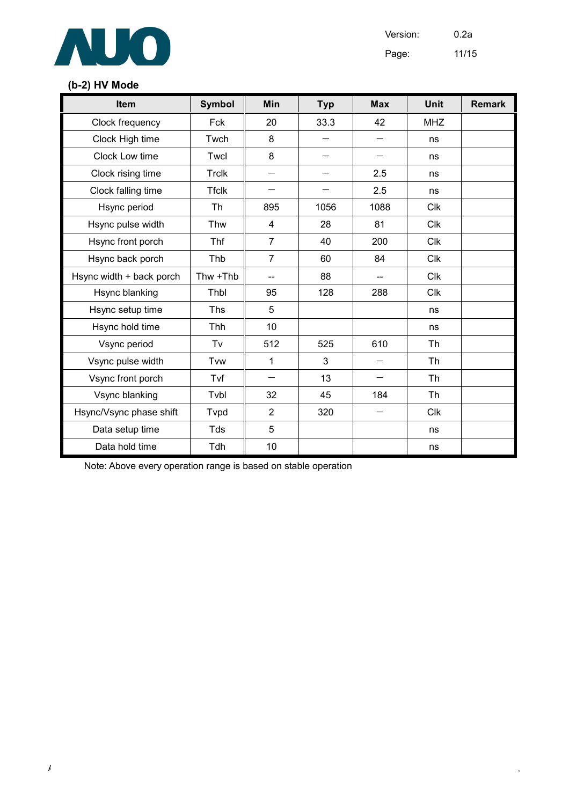

Version: 0.2a

Page: 11/15

### (b-2) HV Mode

| Item                     | <b>Symbol</b> | Min                      | <b>Typ</b>               | <b>Max</b>               | <b>Unit</b> | <b>Remark</b> |
|--------------------------|---------------|--------------------------|--------------------------|--------------------------|-------------|---------------|
| Clock frequency          | Fck           | 20                       | 33.3                     | 42                       | <b>MHZ</b>  |               |
| Clock High time          | Twch          | 8                        | $\overline{\phantom{0}}$ | $\overline{\phantom{0}}$ | ns          |               |
| Clock Low time           | Twcl          | 8                        | $\overline{\phantom{0}}$ | $\overline{\phantom{0}}$ | ns          |               |
| Clock rising time        | <b>Trclk</b>  |                          |                          | 2.5                      | ns          |               |
| Clock falling time       | <b>Tfclk</b>  | $\overline{\phantom{0}}$ |                          | 2.5                      | ns          |               |
| Hsync period             | Th            | 895                      | 1056                     | 1088                     | <b>Clk</b>  |               |
| Hsync pulse width        | Thw           | 4                        | 28                       | 81                       | <b>Clk</b>  |               |
| Hsync front porch        | Thf           | $\overline{7}$           | 40                       | 200                      | <b>Clk</b>  |               |
| Hsync back porch         | Thb           | $\overline{7}$           | 60                       | 84                       | <b>Clk</b>  |               |
| Hsync width + back porch | Thw +Thb      | --                       | 88                       | --                       | <b>Clk</b>  |               |
| Hsync blanking           | Thbl          | 95                       | 128                      | 288                      | <b>Clk</b>  |               |
| Hsync setup time         | <b>Ths</b>    | 5                        |                          |                          | ns          |               |
| Hsync hold time          | Thh           | 10                       |                          |                          | ns          |               |
| Vsync period             | Tv            | 512                      | 525                      | 610                      | Th          |               |
| Vsync pulse width        | <b>T</b> vw   | 1                        | 3                        | $\overline{\phantom{0}}$ | Th          |               |
| Vsync front porch        | Tvf           |                          | 13                       | $\overline{\phantom{0}}$ | <b>Th</b>   |               |
| Vsync blanking           | Tvbl          | 32                       | 45                       | 184                      | Th          |               |
| Hsync/Vsync phase shift  | Tvpd          | $\overline{2}$           | 320                      | $\overline{\phantom{0}}$ | <b>Clk</b>  |               |
| Data setup time          | Tds           | 5                        |                          |                          | ns          |               |
| Data hold time           | Tdh           | 10                       |                          |                          | ns          |               |

Note: Above every operation range is based on stable operation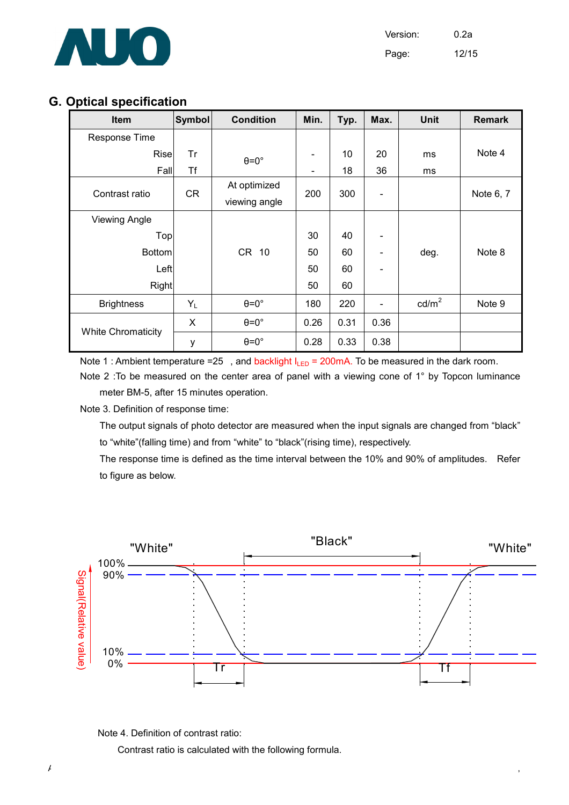

Version: 0.2a Page: 12/15

### G. Optical specification

| <b>Item</b>               | <b>Symbol</b> | <b>Condition</b>     | Min.                         | Typ. | Max.                     | <b>Unit</b>     | <b>Remark</b> |
|---------------------------|---------------|----------------------|------------------------------|------|--------------------------|-----------------|---------------|
| Response Time             |               |                      |                              |      |                          |                 |               |
| Rise                      | Tr            | $\theta = 0^{\circ}$ | $\qquad \qquad \blacksquare$ | 10   | 20                       | ms              | Note 4        |
| Fall                      | Τf            |                      | $\qquad \qquad \blacksquare$ | 18   | 36                       | ms              |               |
| Contrast ratio            | <b>CR</b>     | At optimized         | 200                          | 300  |                          |                 | Note 6, 7     |
|                           |               | viewing angle        |                              |      | $\overline{\phantom{a}}$ |                 |               |
| <b>Viewing Angle</b>      |               |                      |                              |      |                          |                 |               |
| Top                       |               |                      | 30                           | 40   |                          |                 |               |
| <b>Bottom</b>             |               | CR 10                | 50                           | 60   |                          | deg.            | Note 8        |
| Left                      |               |                      | 50                           | 60   |                          |                 |               |
| Right                     |               |                      | 50                           | 60   |                          |                 |               |
| <b>Brightness</b>         | $Y_L$         | $\theta = 0^\circ$   | 180                          | 220  |                          | $\text{cd/m}^2$ | Note 9        |
|                           | X             | $\theta = 0^\circ$   | 0.26                         | 0.31 | 0.36                     |                 |               |
| <b>White Chromaticity</b> | у             | $\theta = 0^\circ$   | 0.28                         | 0.33 | 0.38                     |                 |               |

Note 1 : Ambient temperature =25, and backlight  $I_{LED} = 200 \text{mA}$ . To be measured in the dark room.

Note 2 : To be measured on the center area of panel with a viewing cone of 1° by Topcon luminance meter BM-5, after 15 minutes operation.

Note 3. Definition of response time:

 The output signals of photo detector are measured when the input signals are changed from "black" to "white"(falling time) and from "white" to "black"(rising time), respectively.

 The response time is defined as the time interval between the 10% and 90% of amplitudes. Refer to figure as below.





Contrast ratio is calculated with the following formula.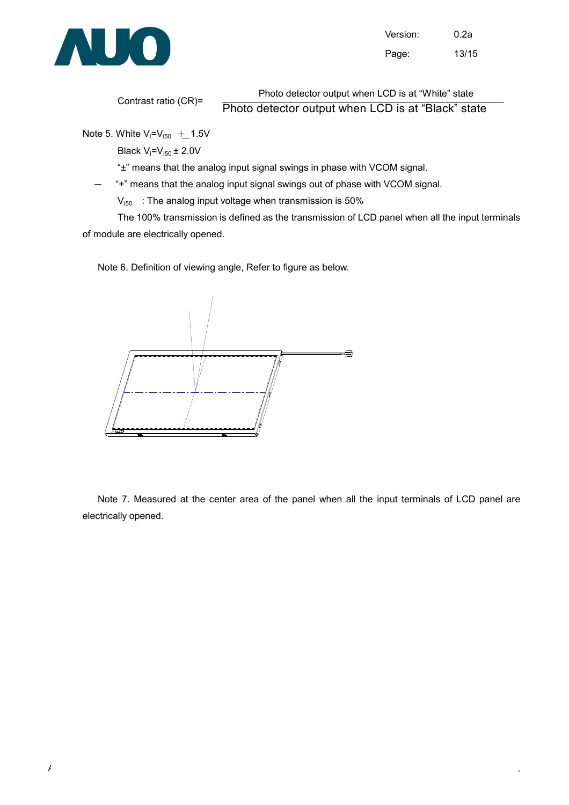

Version: 0.2a Page: 13/15

Contrast ratio (CR)=

Photo detector output when LCD is at "White" state

Photo detector output when LCD is at "Black" state

Note 5. White  $V_i = V_{i50} + 1.5V$ 

Black  $V_i = V_{i50} \pm 2.0 V$ 

"±" means that the analog input signal swings in phase with VCOM signal.

"+" means that the analog input signal swings out of phase with VCOM signal.

 $V_{i50}$  : The analog input voltage when transmission is 50%

 The 100% transmission is defined as the transmission of LCD panel when all the input terminals of module are electrically opened.

Note 6. Definition of viewing angle, Refer to figure as below.



Note 7. Measured at the center area of the panel when all the input terminals of LCD panel are electrically opened.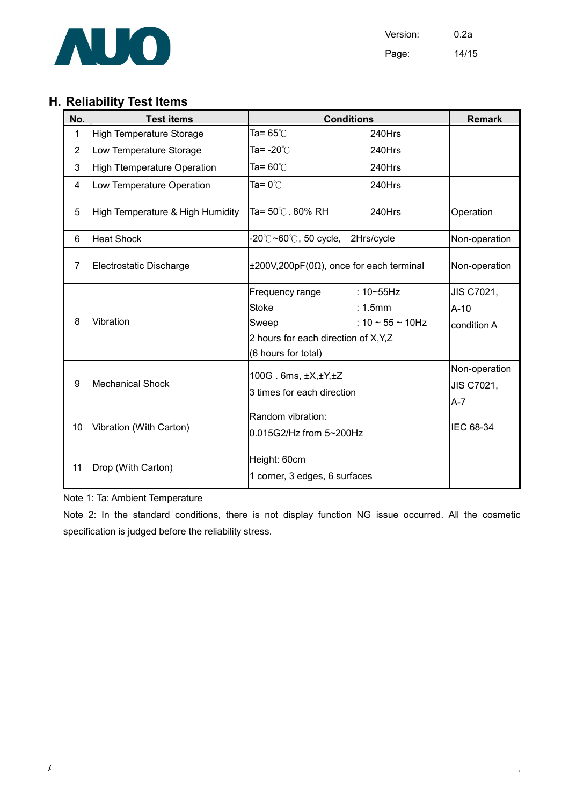

Version: 0.2a Page: 14/15

# H. Reliability Test Items

| No.            | <b>Test items</b>                  | <b>Conditions</b>                                                 |                           | <b>Remark</b> |
|----------------|------------------------------------|-------------------------------------------------------------------|---------------------------|---------------|
| 1              | <b>High Temperature Storage</b>    | Ta= $65^\circ$ C                                                  | 240Hrs                    |               |
| $\overline{2}$ | Low Temperature Storage            | Ta= $-20^{\circ}$ C                                               | 240Hrs                    |               |
| 3              | <b>High Ttemperature Operation</b> | Ta= $60^{\circ}$ C                                                | 240Hrs                    |               |
| 4              | Low Temperature Operation          | Ta= $0^{\circ}$ C                                                 | 240Hrs                    |               |
| 5              | High Temperature & High Humidity   | Ta= 50℃. 80% RH                                                   | 240Hrs                    | Operation     |
| 6              | <b>Heat Shock</b>                  | $-20^{\circ}$ C $\sim$ 60 $^{\circ}$ C, 50 cycle, 2Hrs/cycle      |                           | Non-operation |
| $\overline{7}$ | Electrostatic Discharge            | $\pm 200V, 200pF(0\Omega)$ , once for each terminal               |                           | Non-operation |
| 8              | Vibration                          | Frequency range                                                   | : $10 - 55$ Hz            | JIS C7021,    |
|                |                                    | <b>Stoke</b>                                                      | : 1.5mm                   | $A-10$        |
|                |                                    | Sweep                                                             | : $10 \sim 55 \sim 10$ Hz | condition A   |
|                |                                    | 2 hours for each direction of X, Y, Z                             |                           |               |
|                |                                    | (6 hours for total)                                               |                           |               |
| 9              | <b>Mechanical Shock</b>            | $100G$ . 6ms, $\pm X, \pm Y, \pm Z$<br>3 times for each direction |                           | Non-operation |
|                |                                    |                                                                   |                           | JIS C7021,    |
|                |                                    |                                                                   |                           | A-7           |
| 10             | Vibration (With Carton)            | Random vibration:                                                 |                           | IEC 68-34     |
|                |                                    | 0.015G2/Hz from 5~200Hz                                           |                           |               |
|                | Drop (With Carton)                 | Height: 60cm                                                      |                           |               |
| 11             |                                    | 1 corner, 3 edges, 6 surfaces                                     |                           |               |
|                |                                    |                                                                   |                           |               |

Note 1: Ta: Ambient Temperature

Note 2: In the standard conditions, there is not display function NG issue occurred. All the cosmetic specification is judged before the reliability stress.